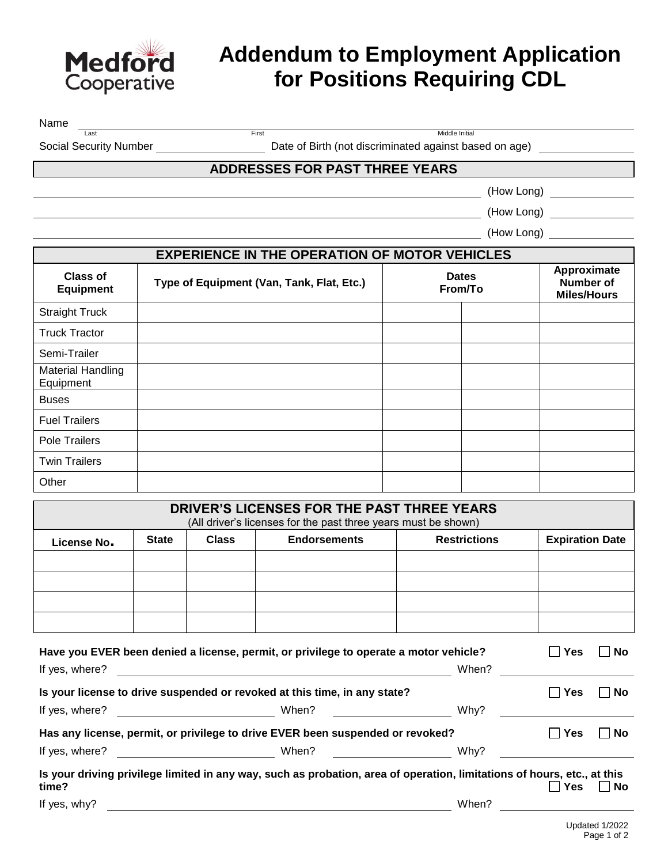

## **Addendum to Employment Application for Positions Requiring CDL**

Name

Last First Middle Initial

Social Security Number **Date of Birth (not discriminated against based on age)** 

## **ADDRESSES FOR PAST THREE YEARS**

(How Long)

(How Long)

(How Long)

| <b>EXPERIENCE IN THE OPERATION OF MOTOR VEHICLES</b> |                                           |                         |  |                                                       |  |  |
|------------------------------------------------------|-------------------------------------------|-------------------------|--|-------------------------------------------------------|--|--|
| Class of<br><b>Equipment</b>                         | Type of Equipment (Van, Tank, Flat, Etc.) | <b>Dates</b><br>From/To |  | Approximate<br><b>Number of</b><br><b>Miles/Hours</b> |  |  |
| <b>Straight Truck</b>                                |                                           |                         |  |                                                       |  |  |
| <b>Truck Tractor</b>                                 |                                           |                         |  |                                                       |  |  |
| Semi-Trailer                                         |                                           |                         |  |                                                       |  |  |
| <b>Material Handling</b><br>Equipment                |                                           |                         |  |                                                       |  |  |
| <b>Buses</b>                                         |                                           |                         |  |                                                       |  |  |
| <b>Fuel Trailers</b>                                 |                                           |                         |  |                                                       |  |  |
| <b>Pole Trailers</b>                                 |                                           |                         |  |                                                       |  |  |
| <b>Twin Trailers</b>                                 |                                           |                         |  |                                                       |  |  |
| Other                                                |                                           |                         |  |                                                       |  |  |

| DRIVER'S LICENSES FOR THE PAST THREE YEARS<br>(All driver's licenses for the past three years must be shown) |              |              |                     |                     |                        |
|--------------------------------------------------------------------------------------------------------------|--------------|--------------|---------------------|---------------------|------------------------|
| License No.                                                                                                  | <b>State</b> | <b>Class</b> | <b>Endorsements</b> | <b>Restrictions</b> | <b>Expiration Date</b> |
|                                                                                                              |              |              |                     |                     |                        |
|                                                                                                              |              |              |                     |                     |                        |
|                                                                                                              |              |              |                     |                     |                        |
|                                                                                                              |              |              |                     |                     |                        |

|                | Have you EVER been denied a license, permit, or privilege to operate a motor vehicle?                                   |       | <b>Yes</b> | <b>No</b> |
|----------------|-------------------------------------------------------------------------------------------------------------------------|-------|------------|-----------|
| If yes, where? |                                                                                                                         | When? |            |           |
|                | Is your license to drive suspended or revoked at this time, in any state?                                               |       | Yes        | l No      |
| If yes, where? | When?                                                                                                                   | Why?  |            |           |
|                | Has any license, permit, or privilege to drive EVER been suspended or revoked?                                          |       | ∣ Yes      | l No      |
| If yes, where? | When?                                                                                                                   | Why?  |            |           |
| time?          | Is your driving privilege limited in any way, such as probation, area of operation, limitations of hours, etc., at this |       | Yes        | No        |

If yes, why? When?